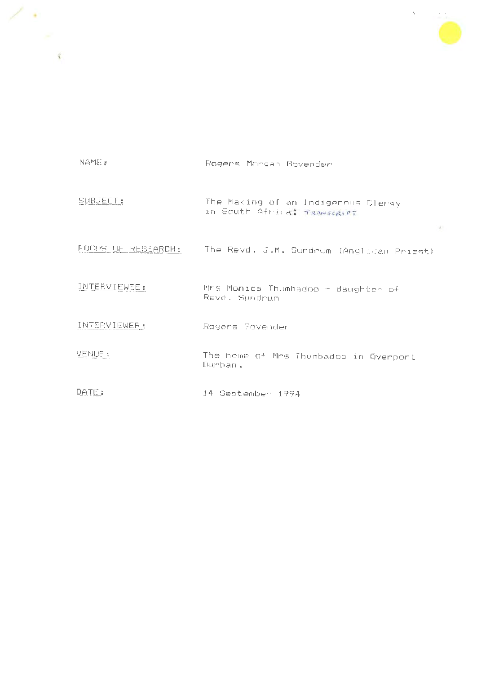

 $\sigma$ 

| NAME :              | Rogers Morgan Govender                                            |
|---------------------|-------------------------------------------------------------------|
| SUBJECT:            | The Making of an Indigenous Clergy<br>in South Africa: TRANSCRIPT |
|                     | FOCUS OF RESEARCH: The Revd. J.M. Sundrum (Anglican Priest)       |
| <b>INTERVIEWEE:</b> | Mrs Monica Thumbadoo - daughter of<br>Revd. Sundrum               |
| INTERVIEWER:        | Rogers Govender                                                   |
| VENUE :             | The home of Mrs Thumbadoo in Overport<br>Durban.                  |
| DATE:               | 14 September 1994                                                 |

. , *r*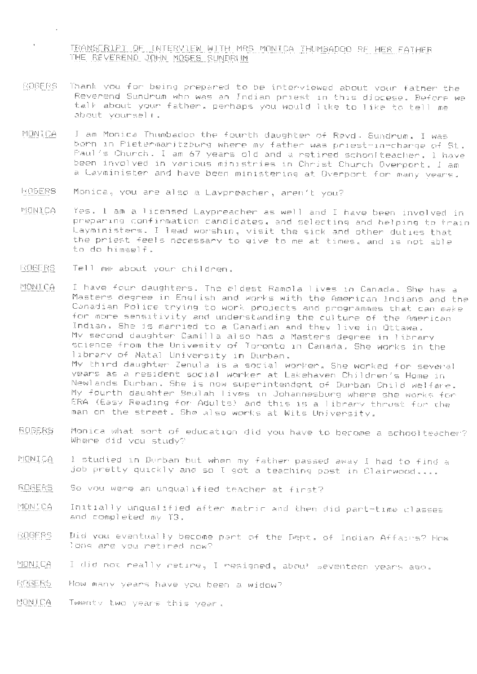TRANSCRIPT OF INTERVIEW WITH MRS MONICA THUMBADOO RE HER FATHER THE REVEREND JOHN MOSES SUNDRUM

- ROGERS Thank you for being prepared to be interviewed about your father the Reverend Sundrum who was an Indian priest 1n this diocese. Before we talk about your father, perhaps you would like to like to tell me about yourself.
- MONICA I am Monica Thumbadoo the fourth daughter of Revd. Sundrum. I was born in Pietermaritzburg where my father was priest-in-charge of St . Paul's Church. I am 67 years old and a retired schoolteacher. I have been involved in various ministries in Christ Church Overport. I am a Layminister and have been ministering at Overport for many years .
- ROGERS Monica , you are also a Laypreacher, aren't you?
- MONICA Yes. I am al icensed Laypreacher as well and I have been involved in preparing confirmation candidates. and selecting and helping to train Layministers. I lead worship, visit the sick and other duties that the priest feels necessary to give to me at times, and is not able to do himself.
- ROGERS Tell me about your children .

 $\mathcal{L}$ 

MONICA I have four daughters. The eldest Ramola lives in Canada. She has a Masters degree in English and works with the American Indians and the Canadian Police trying to work projects and programmes that can make for more sensitivity and understanding the culture of the American Indian. She is married to a Canadian and they 1 ive in Ottawa. My second daughter Camilla also has a Masters degree in 1 ibrary science from the Univesity of Toronto in Canada . She works in the library of Natal University in Durban. My third daughter Zenula is a social worker . She worked for several years as a resident social worker at Lakehaven Children's Home in Newlands Durban. She is now superintendent of Durban Child welfare. My fourth daughter Beulah l ives in Johannesburg where she works for ERA (Easy Reading for Adults) and this is a 1 ibrary thrust for the man on the street . She also works at Wits University .

- ROGERS Monica what sort of education did you have to become a schoolteacher?<br>- Where did you study?
- MONICA I studied in Durban but when my father passed away I had to find a job pretty quickly and so I got a teaching post in Clairwood . ...
- BDGERS So you were an unqualified teacher at first?
- MONICA Initially unqualified after matric and then did part-time classes and completed my T3.
- ROGERS Did you eventually become part of the Dept. of Indian Affairs? How long are you retired now?
- MONICA I did not really retire, I resigned, about seventeen years ago.
- ROGERS. How many years have you been a widow?
- MONICA Twenty two years this year .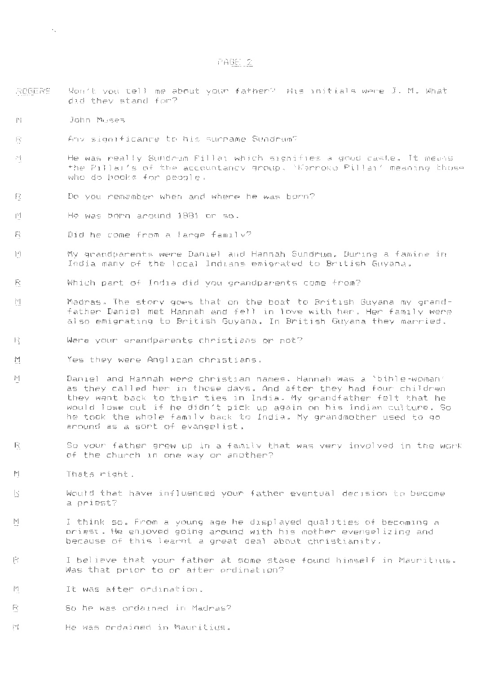### PAGE 2

- ROGER~ Won't you tell me about your father? His initials were J.M. What did they stand for?
- $N!$ John Moses

 $\rightarrow$ 

- Any significance to his surname Sundrum? 穴
- He was really Sundrum Pillai which signifies a good caste. It means 가 the Pillai's of the accountancy group. 'Karroko Pillai' meaning those who do books for people.
- Fč. Do you remember when and where he was born?
- He was born around 1881 or so. 凹
- B Did he come from a large family?
- $|\cdot|$ My grandparents were Daniel and Hannah Sundrum. During a famine in India many of the local Indians emigrated to British Guyana.
- Ā Which part of India did you grandparents come from?
- jv Madras. The story goes that on the boat to British Guyana my grandfather Daniel met Hannah and fell in love with her. Her family were also emigrating to British Guyana. In British Guyana they married.
- $\left\vert \cdot \right\rangle$ Were your grandparents christians or not?
- $\lvert \mathcal{A} \rvert$ Yes they were Anglican christians.
- $\left|\gamma\right|$ Daniel and Hannah were christian names. Hannah was a 'bible-woman' as they called her in those days. And after they had four children they went back to their ties in India. My grandfather felt that he would lose out if he didn't pick up again on his Indian culture. So he took the whole family back to India. My grandmother used to go around as a sort of evangelist.
- R So your father grew up in a family that was very involved in the work of the church in one way or another?
- Thats right.  $|\mathbf{v}|$
- $|\cdot \rangle$ Would that have influenced your father eventual decision to become a priest?
- I think so. From a young age he displayed qual 1ties of becoming a  $|\mathsf{v}|$ priest. He enJoyed going around with his mother evengel izing and because of this learnt a great deal about christianity.
- I believe that your father at some stage found himself in Mauritius. Ĥ, Was that prior to or after ordination?
- It was after ordination. 祠
- B So he was ordained in Madras?
- $\left[\gamma\right]$ He was ordained in Mauritius.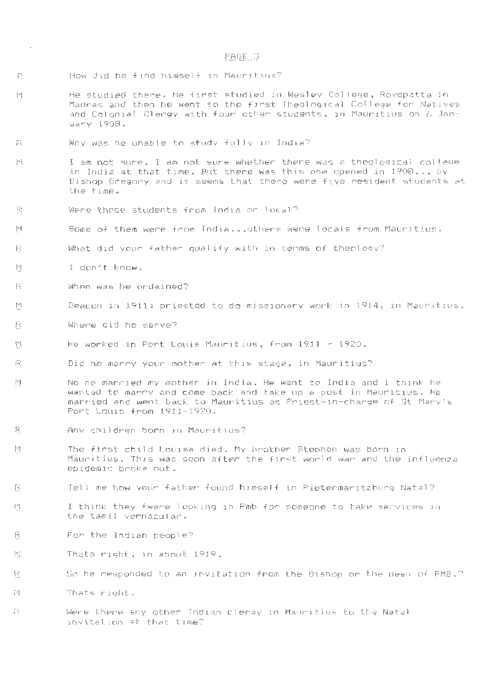## PAGE 3

R How did he find himself in Mauritius?

- He studied there. He first studied in Wesley College, Royepatta in  $\lceil \mathcal{P} \rceil$ Madras and then he went to the first Theological College for Natives and Colonial Clergy with four other students, in Mauritius on 6 January 1908 .
- 炭 Why was he unable to study fully in India?
- į∨∣ I am not sure. I am not sure whether there was a theological college in India at that time. But there was this one opened in 1908 ..• by Bishop Gregory and it seems that there were five resident students at the time.
- $\lceil \frac{1}{2} \eta \rceil$ Were those students from India or local?
- $|\vee|$ Some of them were from India .•• others were l ocals from Mauritius.
- 段 What did your father qualify with in terms of theology?
- I don't know. M

 $\sim 10^{-1}$ 

 $\sim$   $\sim$ 

- $\left\lceil \frac{m}{m_{\mathrm{B}}}\right\rceil$ When was he ordained?
- $|\mathcal{V}|$ Deacon in 1911; priested to do missionary work in 1914, in Mauritius.
- B Where did he serve?
- 团 He worked in Port Louis Mauritius, from 1911 - 1920.
- Fi Did he marry your mother at this stage, in Mauritius?
- No he married my mother in India. He went to India and I think he  $|\mathbf{v}|$ wanted to marry and come back and take up a post in Mauritius. He married and went back to Mauritius as Priest-in-charge of St Mary's Port Louis from 1911-1920.
- $\mathbb{R}$ Any children born in Mauritius?
- $\left[\mathcal{A}\right]$ The first child Louisa died. My brother Stephen was born in Mauritius. This was soon after the first world war and the influenza epidemic broke out.
- li Tell me how your father found himself in Pietermaritzburg Natal?
- $\mathcal{C}^i$ I think they fwere looking in Pmb for someone to take services in the tamil vernacular.
- For the Indian people?  $\overline{z}$
- M Thats right, in about 1919.
- $\lceil \cdot \cdot \cdot \rceil$ So he responded to an invitation from the Bishop or the dean of PMB.?
- 붙 Thats right.
- 을 Were there any other Indian clergy in Mauritius to the Natal invitation at that time?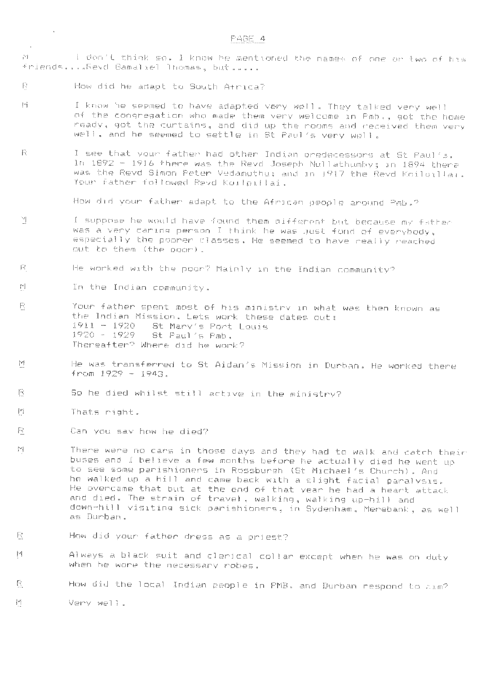- I don't think so. I know he mentioned the names of one or two of his friends . ... Revd Gamaliel 1homas, but .....
- R. How did he adapt to South Africa?

 $\sim 10^{-11}$ 

 $\mathcal{L}$ 

- t:'.! I know he seemed to have adapted very well. They talked very well of the congregation who made them very welcome in Pmb., got the home ready, got the curtains, and did up the rooms and received them very well, and he seemed to settle in St Paul's very wel 1.
- .8. I see that your father had other Indian predecessors at St Paul's . In 1892 - 1916 there was the Revd Joseph Nullathumby; in 1894 there was the Revd Simon Peter Vedamuthu; and in 1917 the Revd Koilpillai. Your father followed Revd Koilpillai.

How did your father adapt to the African people around Pmb.?

- lj I suppose he would have found them different but because my father was a very caring person I think he was just fond of everybody, especially the poorer classes. He seemed to have really reached out to them <the poor).
- .B. He worked with the poor? Mainly in the Indian community?
- $\left[\overline{\mathbf{r}}\right]$ In the Indian community.
- B. Your father spent most of his ministry in what was then known as the Indian Mission. Lets work these dates out:<br>1911 - 1920 - St Mary's Port Louis 1911 - 1920 St Mary's Port Louis 1981 Paul's Pmb. Thereafter? Where did he work?
- $\lvert \mathbf{v} \rvert$ He was transferred to St Aidan's Mission in Durban. He worked there  $from 1929 - 1943.$
- B. So he died whilst still active in the ministry?
- $\lbrack \forall \rbrack$ Thats right.
- $\left| \begin{smallmatrix} 0 & x \\ x & y \end{smallmatrix} \right|$ Can you say how he died?
- $[\forall]$ There were no cars in those days and they had to walk and catch their buses and I believe a few months before he actually died he went up to see some parishioners in Rossburgh (St Michael's Church). And he walked up a hill and came back with a slight facial paralysis. He overcame that but at the end of that year he had a heart attack and died. The strain of travel, walking, walking up-hill and down-hill visiting sick parishioners, in Sydenham, Merebank, as well as Durban.
- B. How did your father dress as a priest?
- t:'.!. Always a black suit and clerical collar except when he was on duty when he wore the necessary robes.
- .6. How did the local Indian people in PMB. and Durban respond to him?
- $\left|\mathbf{v}\right|$ Very wel 1 •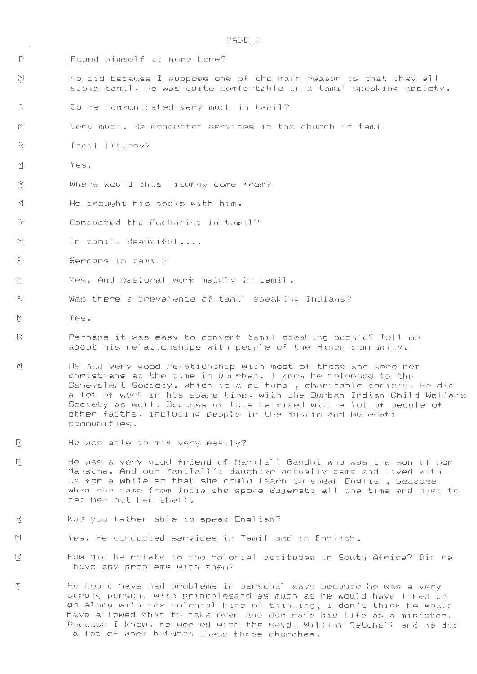- R Found himself at home here?
- $\left|\mathcal{V}\right|$ He did because I suppose one of the main reason is that they all spoke tamil. He was quite comfortable in a tamil speaking society.
- 8. So he communicated very much in tamil?
- $f'$ . Very much. He conducted services in the church in tamil
- B. Tamil liturgy?
- $\left\lceil \mathbf{r} \right\rceil$ Yes.

 $\mathcal{A}$ 

- B. Where would this liturgy come from?
- $\left[\forall\right]$ He brought his books with him.
- Conducted the Eucharist in tamil?  $\mathbb{R}^*$
- $\left\vert \mathbf{v}\right\vert$ In tamil. Beautiful....
- p Sermons in tamil?
- M Yes. Ancl pastoral work mainly in tamil.
- fe Was there a prevalence of tamil speaking Indians?
- $|V|$ Yes.

B.

- Perhaps it was easy to convert tamil speaking people? Tell me R about his relationships with people of the Hindu community.
- M. He had very good relationship with most of those who were not christians at the time in Duurban. I know he belonged to the Benevolent Society, which is a cultural, charitable society . He did a lot of work in his spare time, with the Durban Indian Child Welfare Society as well. Because of this he mixed with a lot of people of other faiths , including people in the Muslim and Gujerati communities .
- 13. He was able to mix very easily?
- $\left\lceil \mathbf{V}\right\rceil$ He was a very good friend of Manilal l Gandhi who was the son of our Mahatma. And our Manilall 's daughter actually came and lived with us for a while so that she could learn to speak English, because when she came from India she spoke Gujerati all the time and just to get her out her shell •
- 13. Was you father able to speak English?
- $\lbrack \triangledown \rbrack$ Yes. He conducted services in Tamil and in English.
	- How did he relate to the colonial attitudes in South Africa? Did he have any problems with them?
- .M. He could have had problems in personal ways because he was a very strong person? with princplesand as much as he would have liked to go along with the colonial kind of thinking, I don't think he would have allowed that to take over and dominate his life as a minister. Because I know, he worked with the Revd. William Satchell and he did a lot of work between these three churches.

# PAGE 5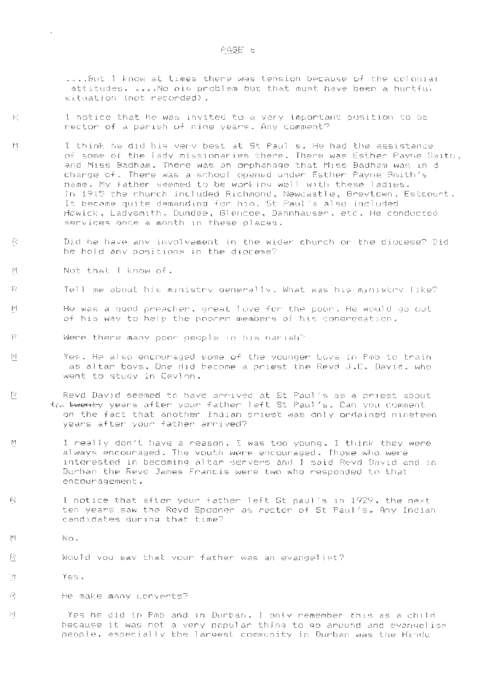## F'AGE 6

.•.. But I know at times there was tension because of the colonial attitudes . . ... No big problem but that must have been a hurtful situation (not recorded).

- B. I notice that he was invited ta a very important position to be rector of a parish of nine years. Any comment?
- $|\mathbb{P}^2|$ I think he did his very best at St Paul's. He had the assistance of some of the lady missionaries there. There was Esther Payne Smith, and Miss Badham . There was an orphanage that Miss Badham was ind charge of. There was a school opened under Esther Payne Smith's name . My father seemed to be working well with these ladies. In 1915 the church included Richmond , Newcastle, Greytown, Estcourt. It became quite demanding for him. St Paul's also included Howick, Ladysmith , Dundee, Glencoe, Dannhauser. etc. He conducted services once a month in these places.
- $|\tilde{\cdot}\rangle$ Did he have any involvement in the wider church or the diocese? Did he hold any positions in the diocese?
- $|\cdot|$ Not that I know of.

 $\Delta \sim 1$ 

- Tell me about his ministry generally . What was his ministry 1 ike?
- M He was a good preacher , great love for the poor . He would go out of his way to help the poorer members of his congregation.
- R Were there many poor people in his parish?
- $\mathbb{M}$   $\blacksquare$  . Yes. He also encouraged some of the younger boys in Pmb to train as altar boys. One did become a priest the Revd J.C. David, who went to study in Ceylon.
- B Revd David seemed to have arrived at St Paul's as a priest about the twenty years after your father left St Paul's. Can you comment on the fact that another Indian priest was only ordained nineteen years after your father arrived?
- tl I really don't have a reason. I was too young. I think they were always encouraged. The youth were encouraged . Those who were interested in becoming altar servers and I said Revd David and in Durban the Revd James Francis were two who responded to that encouragement.
- Ĥ, I notice that after your father left Stpaul 's in 1929, the next ten years saw the Revd Spooner as rector of St Paul's. Any Indian candidates during that time?
- $|\mathbf{v}|$ No .
- B. Would you say that your father was an evangelist?
- lj Yes .

 $\left\vert \mathbf{x}^{\prime}\right\vert$ 

Đ,

B. He make many converts?

> Yes he did in Pmb and in Durban. I only remember this as a child because it was not a very popular thing to go around and evangelise people, especially the largest community in Durban was the Hindu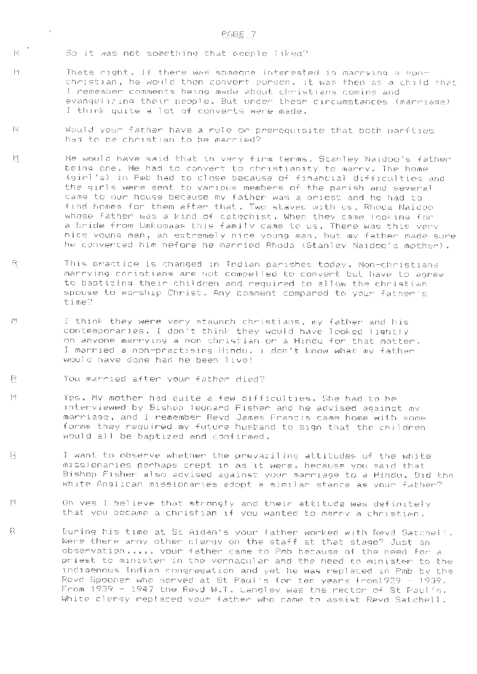$\mathbb{R}^{-1}$ So it was not something that people liked?

 $\mathbb{P}^q$ 

- Thats right . If there was someone interested in marrying a nonchristian, he would then convert person. It was then as a child that I remember comments being made about christians coming and evangelizing their people . But under these circumstances (marriage) I think quite a lot of converts were made.
- $|\mathcal{C}_\chi|$ Would your father have a rule or prerequisite that both parfties had to be christian to be married?
- tl He would have said that in very firm terms. Stanley Naidoo's father being one . He had to convert to christianity to marry. The home (girl's) in Pmb had to close because of financial difficulties and the girls were sent to various members of the parish and several came to our house because my father was a priest and he had to find homes for them after that. Two stayed with us, Rhoda Naidoo whose father was a kind of catechist. When they came looking for a bride from Umkomaas this family came to us. There was this very nice young man, an extremely nice young man, but my father made sure he converted him before he married Rhoda (Stanley Naidoo's mother) .
- $\mathbb{R}$ This practice is changed in Indian parishes today. Non-christians marrying christians are not compelled to convert but have to agree to baptizing their children and required to allow the christian spouse to worship Christ. Any comment compared to your father's time?
- I think they were very staunch christians, my father and his W contemporaries. I don't think they would have looked lightly on anyone marrying a non christian or a Hindu for that matter. I married a non-practising Hindu. i don't know what my father would have done had he been live!
- $\mathbb{R}^{\mathbb{Z}}$ You married after your father died?
- $\vert \mathbf{v} \vert$ Yes. My mother had quite a few difficulties. She had to be interviewed by Bishop leonard Fisher and he advised against my marriage, and I remember Revd James Francis came home with some forms they required my future husband to sign that the children would all be baptized and confirmed.
- $\mathbb{R}$ I want to observe whether the prevazil ing attitudes of the white missionaries perhaps crept in as it were , because you said that Bishop Fisher also advised against your marriage to a Hindu. Did the white Anglican missionaries adopt a similar stance as your father?
- tl Oh yes I believe that strongly and their attitude was definitely that you became a christian if you wanted to marry a christian.
- $\mathbb{R}^{\mathbb{N}}$ During his time at St Aidan's your father worked with Revd Satchell. Were there arny other clergy on the staff at that stage? Just an observation . . . .. your father came to Pmb because of the need for a priest to minister in the vernacular and the need to minister to the indigenous Indian congregation and yet he was replaced in Pmb by the Revd Spooner who served at St Paul's for ten years frorn1929 - 1939 . From 1939 - 1947 the Revd W.T . Langley was the rector of St Paul's. White clergy replaced your father who came to assist Revd Satchell.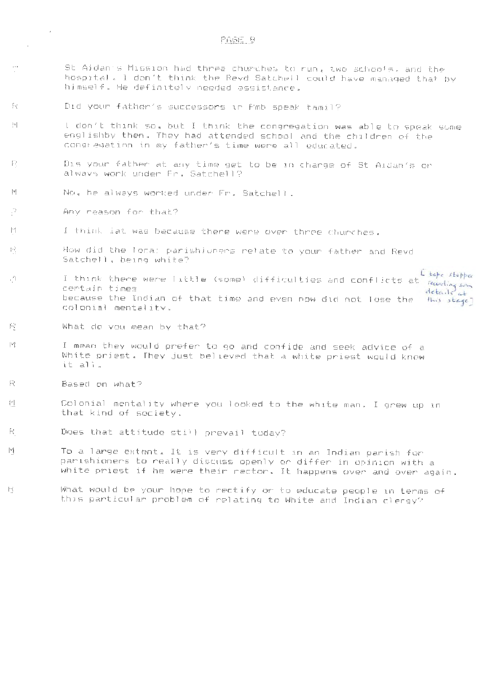- St Aidan's Mission had three churches to run, two schools, and the hospital . I don't think the Revd Satchell could have managed that by himself. He definitely needed assistance.
- Did your father's successors in Pmb speak tamil?
- i  $\alpha$ I don't think so, but I think the congregation was able to speak some engl ishby then. They had attended school and the children of the congregation in my father's time were all educated.
- Dis your father at any time get to be 1n charge of St Aidan's or -FP always work under Fr . Satchell?
- $\left\lceil \frac{w}{2} \right\rceil$ No, he always worked under Fr. Satchell
- B. Any reason for that?

lj

-É c

 $\sim$ 

- $|\mathbf{v}|$ I think iat was because there were over three churches.
- G. How did the local parishioners relate to your father and Revd Satchell, being white?
- $\mathbb{C}$ ) (Some) difficulties and conflicts at I think there were  $\lfloor \frac{\ell}{2} \rfloor$ certain times because the Indian of that time and even now did not lose the this stage] colonial mentality.
- B. What do you mean by that?
- $|\mathbf{v}|$ I mean they would prefer to go and confide and seek advice of a White priest. They just believed that a white priest would know it all .
- Based on what? -12
- $\lvert \mathbf{v} \rvert$ Colonial mentality where you looked to the white man. I grew up in that kind of society.
- B. Does that attitude still prevail today?
- $|v|$ To a large extent. It is very difficult in an Indian parish for parishioners to really discuss openly or differ in opinion with a white priest if he were their rector. It happens over and ever again.
- 13. What would be your hope to rectify or to educate people in terms of this particular problem of relating to White and Indian clergy?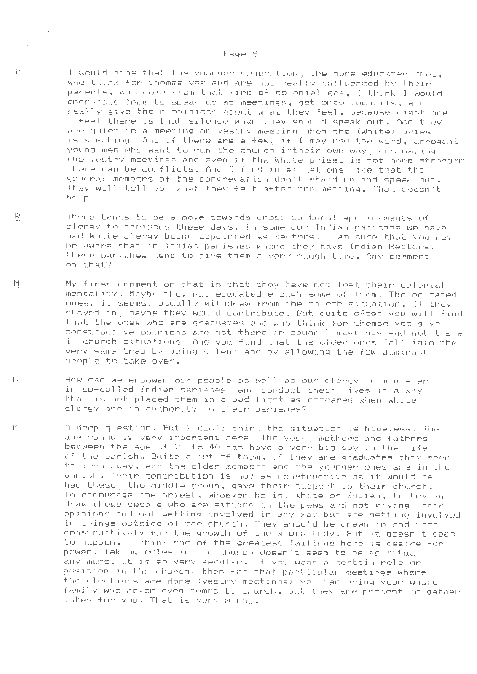## $Page 9$

..

 $\sim$ 

tn.

I would hope that the younger generation, the more educated ones, who think for themselves and are not really influenced by their parents, who come from that kind of colonial era, I think I would encourage them to speak up at meetings, get onto councils, and really give their opinions about what they feel, because right now I feel there is that silence when they should speak out. And they are quiet in a meeting or vestry meeting when the (White) priest is speaking . And if there are a few, if I may use the word, arrogant young men who want to run the church intheir own way, dominating the vestry meetings and even if the White priest is not more stronger there can be conflicts. And I find in situations like that the general members of the congregation don't stand up and speak out . They will tell you what they felt after the meeting. That doesn't help .

- fi There tends to be a move towards cross-cultural appointments of clergy to parishes these days. In some our Indian parishes **we** have had White clergy being appointed as Rectors. I am sure that you may be aware that in Indian parishes where they have Indian Rectors, these parishes tend to give them a very rough time. Any comment on that?
- $\left\vert \omega\right\vert$ My first comment on that is that they have not lost their colonial mentality. Maybe they not educated enough some of them. The educated ones , it seems, usually withdraw from the church situation. If they stayed in, maybe they would contribute . But quite often you will find that the ones who are graduates and who think for themselves give constructive opinions are not there in council meetings and not there in church situations. And you find that the older ones fall into the very same trap by being silent and by allowing the few dominant people to take over.
- How can we empower our people as well as our clergy to minister F¢ in so-called Indian parishes, and conduct their lives in a way that is not placed them in a bad light as compared when White clergy are in authority in their parishes?
- $\vert \mathrm{V} \vert$ A deep question . But I don't think the situation is hopeless. The age range is very important here . The young mothers and fathers between the age of 25 to 40 can have a very big say in the life of the parish. Quite a lot of them, if they are graduates they seem to keep away, and the older members and the younger ones are in the parish. Their contribution is not as constructive as it would be had these, the middle group, gave their support to their church. To encourage the priest, whoever he is, White or Indian, to try and draw these people who are sitting in the pews and not giving their opinions and not getting involved in any way but are getting involved in things outside of the church. They should be drawn in and used constructively for the growth of the whole body. But it doesn't seem to happen . I think one of the greatest failings here is desire for power. Taking roles in the church doesn't seem to be spiritual any more . It is so very secular. If you want a certain role or position in the church, then for that particular meetings where the elections are done (vestry meetings) you can bring your whole family who never even comes to church , but they are present to gather votes for you. That is very wrong.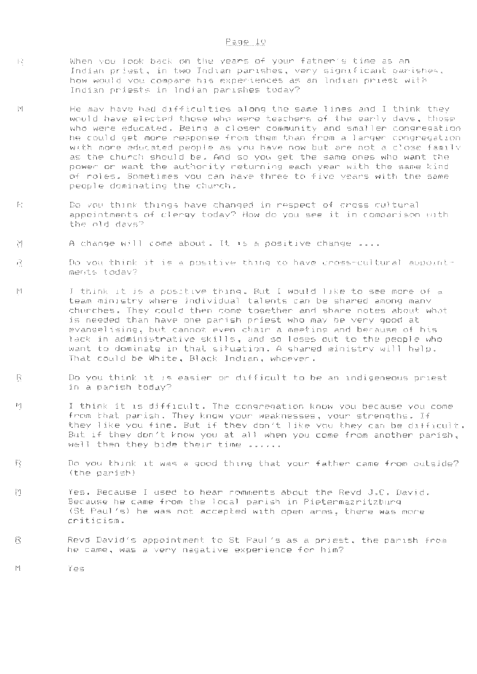- When you look back on the years of your father's time as an 中心 Indian priest, in two Indian parishes, very significant parishes, how would you compare his experiences as an Indian priest with Indian priests in Indian parishes today?
- $\vert \mathbf{v} \vert$ He may have had difficulties along the same lines and I think they would have elected those who were teachers of the early days, those who were educated. Being a closer community and smaller congregation he could get more response from them than from a larger congregation with more educated people as you have now but are not a close family as the church should be. And so you get the same ones who want the power or want the authority returning each year with the same kind of roles. Sometimes you can have three to five years with the same people dominating the church.
- $\left\lceil \frac{1}{2} \right\rceil$ Do you think things have changed in respect of cross cultural appointments of clergy today? How do you see it in comparison with the old days?
- A change will come about . It is a positive change . ... 꼰
- 八 Do you think it is a positive thing to have cross-cultural aopointments today?
- $|\nabla|$ I think it is a positive thing. But I would l 1ke to see more of a team ministry where individual talents can be shared among many churches. They could then come together and share notes about what is needed than have one parish priest who may be very good at evangelising, but cannot even chair a meeting and because of his lack in administrative skills, and so loses out to the people who want to dominate in that situation. A shared ministry will help. That could be White, Black Indian, whoever.
- R Do you think it is easier or difficult to be an indigeneous priest in a parish today?
- $\mathbb{M}$ I think it is difficult. The congregation know you because you come from that parish. They know your weaknesses, your strengths. If they like you fine. But if they don't like you they can be difficult. But if they don't know you at all when you come from another parish, well then they bide their time ......
- $\mathbf{F}^*$ Do you think it was a good thing that your father came from outside? (the parish)
- 置 Yes. Because I used to hear comments about the Revd J.C . David. Because he came from the local parish in Pietermazritzburg (St Paul's) he was not accepted with open arms, there was more criticism.
- 置 Revd David's appointment to St Paul's as a priest, the parish from he came, was a very nagative experience for him?
	- Yes

 $\mathbb{M}$